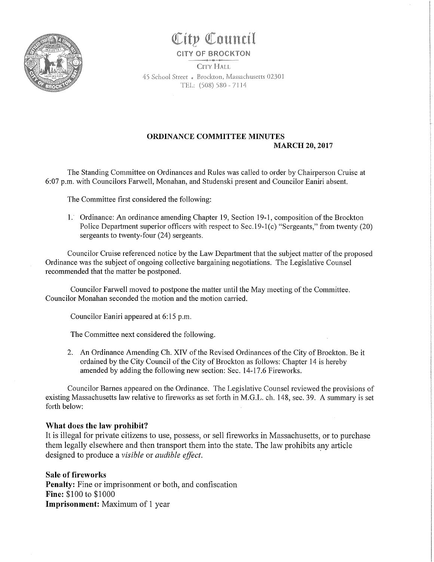

# City Council

### CITY OF BROCKTON

CITY HALL 45 School Street . Brockton, Massachusetts 02301 TEL: (508) 580 - 7114

## ORDINANCE COMMITTEE MINUTES MARCH 20, 2017

The Standing Committee on Ordinances and Rules was called to order by Chairperson Cruise at 6:.07 p.m. with Councilors Farwell, Monahan, and Studenski present and Councilor Eaniri absent.

The Committee first considered the following:

· 1. Ordinance: An ordinance amending Chapter 19, Section 19-1, composition of the Brockton Police Department superior officers with respect to Sec.19-1(c) "Sergeants," from twenty (20) sergeants to twenty-four (24) sergeants.

Councilor Cruise referenced notice by the Law Department that the subject matter of the proposed Ordinance was the subject of ongoing collective bargaining negotiations. The Legislative Counsel recommended that the matter be postponed.

Councilor Farwell moved to postpone the matter until the May meeting of the Committee. Councilor Monahan seconded the motion and the motion carried.

Councilor Eaniri appeared at 6: 15 p.m.

The Committee next considered the following.

2. An Ordinance Amending Ch. XIV of the Revised Ordinances of the City of Brockton. Be it ordained by the City Council of the City of Brockton as follows: Chapter 14 is hereby amended by adding the following new section: Sec. 14-17.6 Fireworks.

Councilor Barnes appeared on the Ordinance. The Legislative Counsel reviewed the provisions of existing Massachusetts law relative to fireworks as set forth in M.G.L. ch. 148, sec. 39. A summary is set forth below:

### What does the law prohibit?

It is illegal for private citizens to use, possess, or sell fireworks in Massachusetts, or to purchase them legally elsewhere and then transport them into the state. The law prohibits any article designed to produce a visible or audible effect.

Sale of fireworks Penalty: Fine or imprisonment or both, and confiscation Fine: \$100 to \$1000 Imprisonment: Maximum of 1 year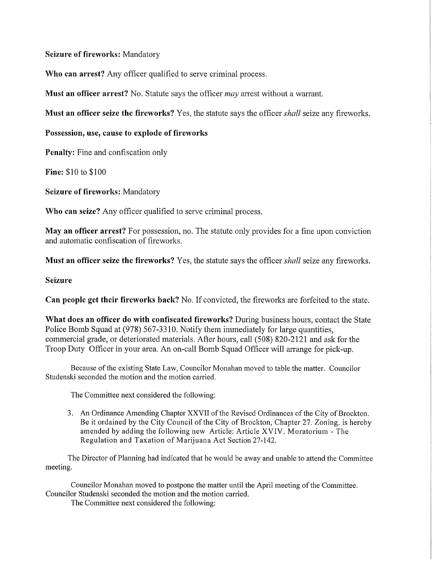Seizure of fireworks: Mandatory

Who can arrest? Any officer qualified to serve criminal process.

**Must an officer arrest?** No. Statute says the officer *may* arrest without a warrant.

Must an officer seize the fireworks? Yes, the statute says the officer *shall* seize any fireworks.

Possession, use, cause to explode of fireworks

Penalty: Fine and confiscation only

Fine: \$10 to \$100

Seizure of fireworks: Mandatory

Who can seize? Any officer qualified to serve criminal process.

May an officer arrest? For possession, no. The statute only provides for a fine upon conviction and automatic confiscation of fireworks.

**Must an officer seize the fireworks?** Yes, the statute says the officer *shall* seize any fireworks.

## Seizure

Can people get their fireworks back? No. If convicted, the fireworks are forfeited to the state.

What does an officer do with confiscated fireworks? During business hours, contact the State Police Bomb Squad at (978) 567-3310. Notify them immediately for large quantities, commercial grade, or deteriorated materials. After hours, call (508) 820-2121 and ask for the Troop Duty Officer in your area. An on-call Bomb Squad Officer will arrange for pick-up.

Because of the existing State Law, Councilor Monahan moved to table the matter. Councilor Studenski seconded the motion and the motion carried.

The Committee next considered the following:

3. An Ordinance Amending Chapter XXVII of the Revised Ordinances of the City of Brockton. Be it ordained by the City Council of the City of Brockton, Chapter 27. Zoning. is hereby amended by adding the following new Article: Article XVIV. Moratorium - The Regulation and Taxation of Marijuana Act Section 27-142.

The Director of Planning had indicated that he would be away and unable to attend the Committee meeting.

Councilor Monahan moved to postpone the matter until the April meeting of the Committee. Councilor Studenski seconded the motion and the motion carried.

The Committee next considered the following: